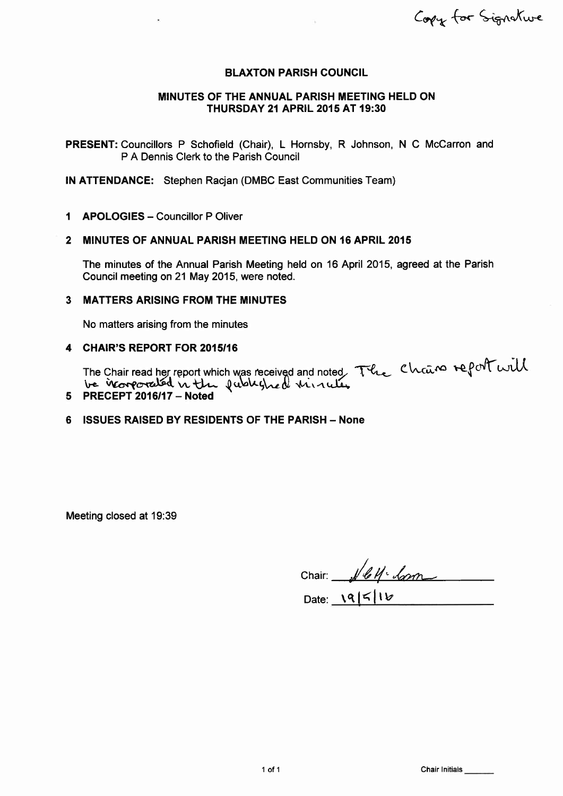Copy for Signature

### BLAXTON PARISH COUNCIL

### MINUTES OF THE ANNUAL PARISH MEETING HELD ON THURSDAY 21 APRIL 2015 AT 19:30

PRESENT: Councillors P Schofield (Chair), L Hornsby, R Johnson, N C McCarron and P A Dennis Clerk to the Parish Council

lN ATTENDANCE: Stephen Racjan (DMBC East Communities Team)

1 **APOLOGIES** - Councillor P Oliver

#### 2 MINUTES OF ANNUAL PARISH MEETING HELD ON 16 APRIL <sup>2015</sup>

The minutes of the Annual Parish Meeting held on 16 April 2015, agreed at the Parish Council meeting on 21 May 2015, were noted.

### 3 MATTERS ARISING FROM THE MINUTES

No matters arising from the minutes

#### 4 CHAIR'S REPORT FOR 2015'16

The Chair read her report which was received and noted The Chain report will<br>be incorporated in the published viriable.

# 5 PRECEPT 2016117 - Noted

## 6 ISSUES RAISED BY RESIDENTS OF THE PARISH - None

Meeting closed at 19:39

Chair:  $\sqrt{461}$ 

Date:  $\sqrt{95/16}$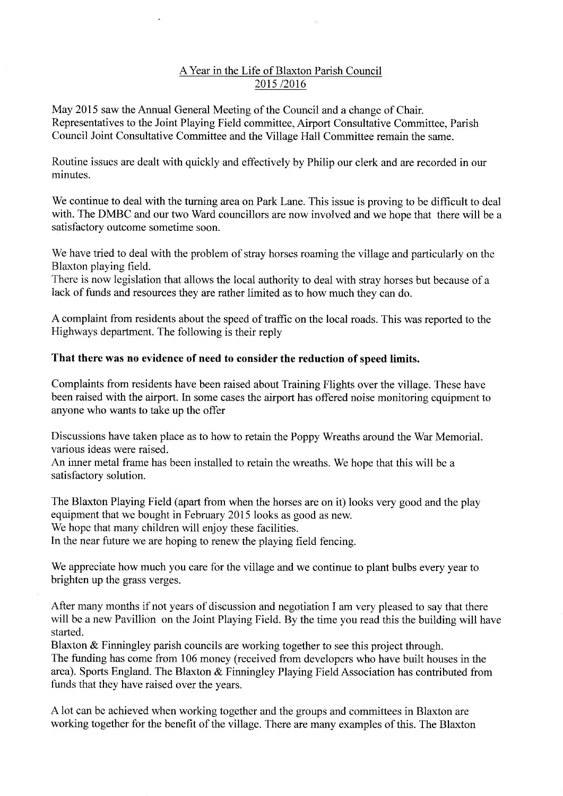# AYear in the Life of Blaxton Parish Council 2015/2016

May 2015 saw the Annual General Meeting of the Council and a change of Chair. Representatives to the Joint Playing Field committee, Airport Consultative Committee, Parish Council Joint Consultative Committee and the Village Hall Committee remain the same.

Routine issues are dealt with quickly and effectively by Philip our clerk and are recorded in our minutes.

We continue to deal with the turning area on Park Lane. This issue is proving to be difficult to deal with. The DMBC and our two Ward councillors are now involved and we hope that there will be a satisfactory outcome sometime soon.

We have tried to deal with the problem of stray horses roaming the village and particularly on the Blaxton playing field.

There is now legislation that allows the local authority to deal with stray horses but because of a lack of funds and resources they are rather limited as to how much they can do.

A complaint from residents about the speed of traffic on the local roads. This was reported to the Highways department. The following is their reply

# That there was no evidence of need to consider the reduction of speed limits.

Complaints from residents have been raised about Training Flights over the village. These have been raised with the airport. In some cases the airport has offered noise monitoring equipment to anyone who wants to take up the offer

Discussions have taken place as to how to retain the Poppy Wreaths around the War Memorial. various ideas were raised.

An inner metal frame has been installed to retain the wreaths. We hope that this will be a satisfactory solution.

The Blaxton Playing Field (apart from when the horses are on it) looks very good and the play equipment that we bought in February 2015 looks as good as new. We hope that many children will enjoy these facilities. In the near future we are hoping to renew the playing field fencing.

We appreciate how much you care for the village and we continue to plant bulbs every year to brighten up the grass verges.

After many months if not years of discussion and negotiation I am very pleased to say that there will be a new Pavillion on the Joint Playing Field. By the time you read this the building will have started.

Blaxton & Finningley parish councils are working together to see this project through. The funding has come from 106 money (received from developers who have built houses in the area). Sports England. The Blaxton & Finningley Playing Field Association has contributed from funds that they have raised over the years.

A lot can be achieved when working together and the groups and committees in Blaxton are working together for the benefit of the village. There are many examples of this. The Blaxton